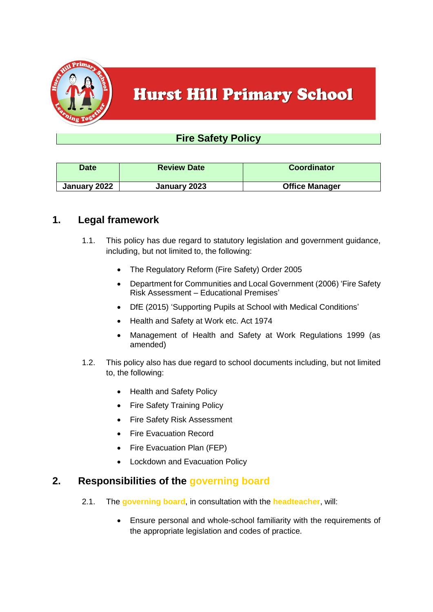

# **Hurst Hill Primary School**

# **Fire Safety Policy**

| <b>Date</b>  | <b>Review Date</b> | <b>Coordinator</b>    |
|--------------|--------------------|-----------------------|
| January 2022 | January 2023       | <b>Office Manager</b> |

## **1. Legal framework**

- 1.1. This policy has due regard to statutory legislation and government guidance, including, but not limited to, the following:
	- The Regulatory Reform (Fire Safety) Order 2005
	- Department for Communities and Local Government (2006) 'Fire Safety Risk Assessment – Educational Premises'
	- DfE (2015) 'Supporting Pupils at School with Medical Conditions'
	- Health and Safety at Work etc. Act 1974
	- Management of Health and Safety at Work Regulations 1999 (as amended)
- 1.2. This policy also has due regard to school documents including, but not limited to, the following:
	- Health and Safety Policy
	- Fire Safety Training Policy
	- Fire Safety Risk Assessment
	- Fire Evacuation Record
	- Fire Evacuation Plan (FEP)
	- Lockdown and Evacuation Policy

#### **2. Responsibilities of the governing board**

- 2.1. The **governing board**, in consultation with the **headteacher**, will:
	- Ensure personal and whole-school familiarity with the requirements of the appropriate legislation and codes of practice.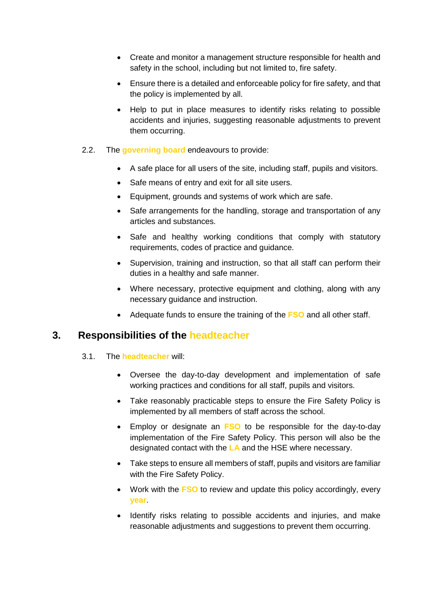- Create and monitor a management structure responsible for health and safety in the school, including but not limited to, fire safety.
- Ensure there is a detailed and enforceable policy for fire safety, and that the policy is implemented by all.
- Help to put in place measures to identify risks relating to possible accidents and injuries, suggesting reasonable adjustments to prevent them occurring.
- 2.2. The **governing board** endeavours to provide:
	- A safe place for all users of the site, including staff, pupils and visitors.
	- Safe means of entry and exit for all site users.
	- Equipment, grounds and systems of work which are safe.
	- Safe arrangements for the handling, storage and transportation of any articles and substances.
	- Safe and healthy working conditions that comply with statutory requirements, codes of practice and guidance.
	- Supervision, training and instruction, so that all staff can perform their duties in a healthy and safe manner.
	- Where necessary, protective equipment and clothing, along with any necessary guidance and instruction.
	- Adequate funds to ensure the training of the **FSO** and all other staff.

# **3. Responsibilities of the headteacher**

- 3.1. The **headteacher** will:
	- Oversee the day-to-day development and implementation of safe working practices and conditions for all staff, pupils and visitors.
	- Take reasonably practicable steps to ensure the Fire Safety Policy is implemented by all members of staff across the school.
	- Employ or designate an **FSO** to be responsible for the day-to-day implementation of the Fire Safety Policy. This person will also be the designated contact with the **LA** and the HSE where necessary.
	- Take steps to ensure all members of staff, pupils and visitors are familiar with the Fire Safety Policy.
	- Work with the **FSO** to review and update this policy accordingly, every **year**.
	- Identify risks relating to possible accidents and injuries, and make reasonable adjustments and suggestions to prevent them occurring.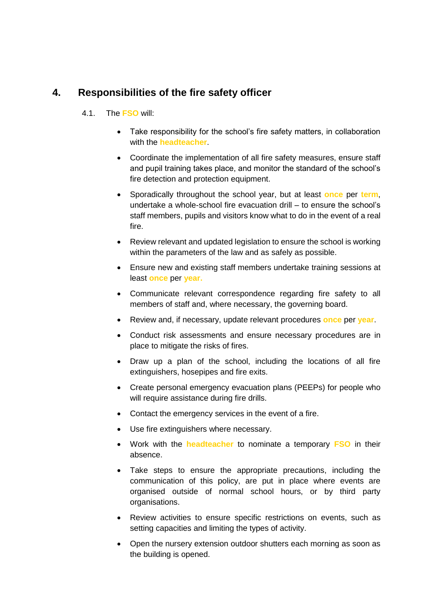# **4. Responsibilities of the fire safety officer**

#### 4.1. The **FSO** will:

- Take responsibility for the school's fire safety matters, in collaboration with the **headteacher**.
- Coordinate the implementation of all fire safety measures, ensure staff and pupil training takes place, and monitor the standard of the school's fire detection and protection equipment.
- Sporadically throughout the school year, but at least **once** per **term**, undertake a whole-school fire evacuation drill – to ensure the school's staff members, pupils and visitors know what to do in the event of a real fire.
- Review relevant and updated legislation to ensure the school is working within the parameters of the law and as safely as possible.
- Ensure new and existing staff members undertake training sessions at least **once** per **year.**
- Communicate relevant correspondence regarding fire safety to all members of staff and, where necessary, the governing board.
- Review and, if necessary, update relevant procedures **once** per **year**.
- Conduct risk assessments and ensure necessary procedures are in place to mitigate the risks of fires.
- Draw up a plan of the school, including the locations of all fire extinguishers, hosepipes and fire exits.
- Create personal emergency evacuation plans (PEEPs) for people who will require assistance during fire drills.
- Contact the emergency services in the event of a fire.
- Use fire extinguishers where necessary.
- Work with the **headteacher** to nominate a temporary **FSO** in their absence.
- Take steps to ensure the appropriate precautions, including the communication of this policy, are put in place where events are organised outside of normal school hours, or by third party organisations.
- Review activities to ensure specific restrictions on events, such as setting capacities and limiting the types of activity.
- Open the nursery extension outdoor shutters each morning as soon as the building is opened.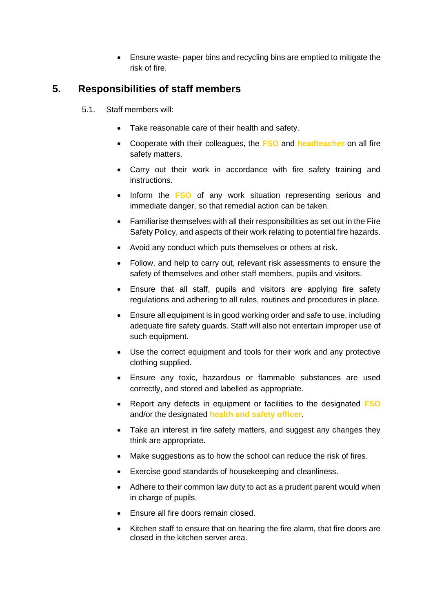Ensure waste- paper bins and recycling bins are emptied to mitigate the risk of fire.

# **5. Responsibilities of staff members**

- 5.1. Staff members will:
	- Take reasonable care of their health and safety.
	- Cooperate with their colleagues, the **FSO** and **headteacher** on all fire safety matters.
	- Carry out their work in accordance with fire safety training and instructions.
	- Inform the **FSO** of any work situation representing serious and immediate danger, so that remedial action can be taken.
	- Familiarise themselves with all their responsibilities as set out in the Fire Safety Policy, and aspects of their work relating to potential fire hazards.
	- Avoid any conduct which puts themselves or others at risk.
	- Follow, and help to carry out, relevant risk assessments to ensure the safety of themselves and other staff members, pupils and visitors.
	- Ensure that all staff, pupils and visitors are applying fire safety regulations and adhering to all rules, routines and procedures in place.
	- Ensure all equipment is in good working order and safe to use, including adequate fire safety guards. Staff will also not entertain improper use of such equipment.
	- Use the correct equipment and tools for their work and any protective clothing supplied.
	- Ensure any toxic, hazardous or flammable substances are used correctly, and stored and labelled as appropriate.
	- Report any defects in equipment or facilities to the designated **FSO** and/or the designated **health and safety officer**.
	- Take an interest in fire safety matters, and suggest any changes they think are appropriate.
	- Make suggestions as to how the school can reduce the risk of fires.
	- Exercise good standards of housekeeping and cleanliness.
	- Adhere to their common law duty to act as a prudent parent would when in charge of pupils.
	- Ensure all fire doors remain closed.
	- Kitchen staff to ensure that on hearing the fire alarm, that fire doors are closed in the kitchen server area.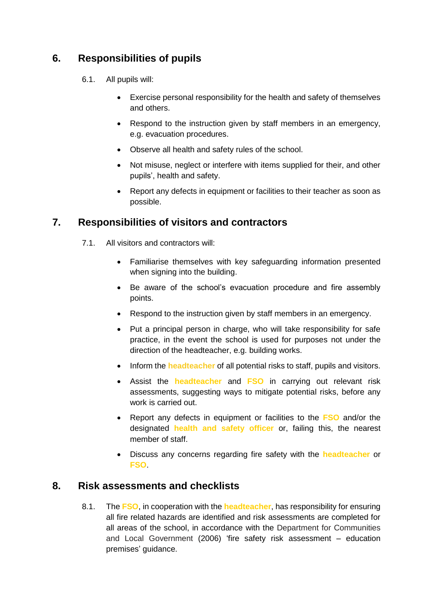# **6. Responsibilities of pupils**

- 6.1. All pupils will:
	- Exercise personal responsibility for the health and safety of themselves and others.
	- Respond to the instruction given by staff members in an emergency, e.g. evacuation procedures.
	- Observe all health and safety rules of the school.
	- Not misuse, neglect or interfere with items supplied for their, and other pupils', health and safety.
	- Report any defects in equipment or facilities to their teacher as soon as possible.

# **7. Responsibilities of visitors and contractors**

- 7.1. All visitors and contractors will:
	- Familiarise themselves with key safeguarding information presented when signing into the building.
	- Be aware of the school's evacuation procedure and fire assembly points.
	- Respond to the instruction given by staff members in an emergency.
	- Put a principal person in charge, who will take responsibility for safe practice, in the event the school is used for purposes not under the direction of the headteacher, e.g. building works.
	- Inform the **headteacher** of all potential risks to staff, pupils and visitors.
	- Assist the **headteacher** and **FSO** in carrying out relevant risk assessments, suggesting ways to mitigate potential risks, before any work is carried out.
	- Report any defects in equipment or facilities to the **FSO** and/or the designated **health and safety officer** or, failing this, the nearest member of staff.
	- Discuss any concerns regarding fire safety with the **headteacher** or **FSO**.

# **8. Risk assessments and checklists**

8.1. The **FSO**, in cooperation with the **headteacher**, has responsibility for ensuring all fire related hazards are identified and risk assessments are completed for all areas of the school, in accordance with the Department for Communities and Local Government (2006) 'fire safety risk assessment – education premises' guidance.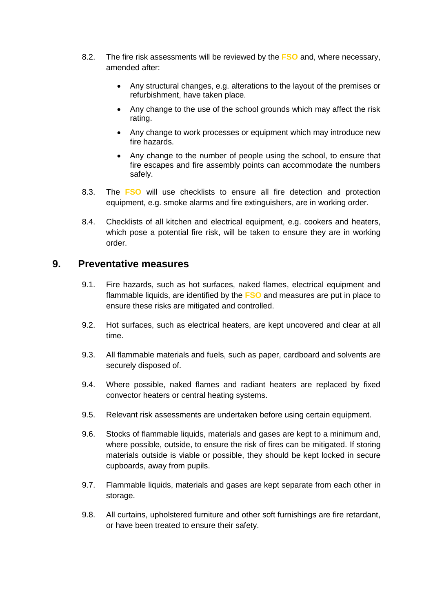- 8.2. The fire risk assessments will be reviewed by the **FSO** and, where necessary, amended after:
	- Any structural changes, e.g. alterations to the layout of the premises or refurbishment, have taken place.
	- Any change to the use of the school grounds which may affect the risk rating.
	- Any change to work processes or equipment which may introduce new fire hazards.
	- Any change to the number of people using the school, to ensure that fire escapes and fire assembly points can accommodate the numbers safely.
- 8.3. The **FSO** will use checklists to ensure all fire detection and protection equipment, e.g. smoke alarms and fire extinguishers, are in working order.
- 8.4. Checklists of all kitchen and electrical equipment, e.g. cookers and heaters, which pose a potential fire risk, will be taken to ensure they are in working order.

#### **9. Preventative measures**

- 9.1. Fire hazards, such as hot surfaces, naked flames, electrical equipment and flammable liquids, are identified by the **FSO** and measures are put in place to ensure these risks are mitigated and controlled.
- 9.2. Hot surfaces, such as electrical heaters, are kept uncovered and clear at all time.
- 9.3. All flammable materials and fuels, such as paper, cardboard and solvents are securely disposed of.
- 9.4. Where possible, naked flames and radiant heaters are replaced by fixed convector heaters or central heating systems.
- 9.5. Relevant risk assessments are undertaken before using certain equipment.
- 9.6. Stocks of flammable liquids, materials and gases are kept to a minimum and, where possible, outside, to ensure the risk of fires can be mitigated. If storing materials outside is viable or possible, they should be kept locked in secure cupboards, away from pupils.
- 9.7. Flammable liquids, materials and gases are kept separate from each other in storage.
- 9.8. All curtains, upholstered furniture and other soft furnishings are fire retardant, or have been treated to ensure their safety.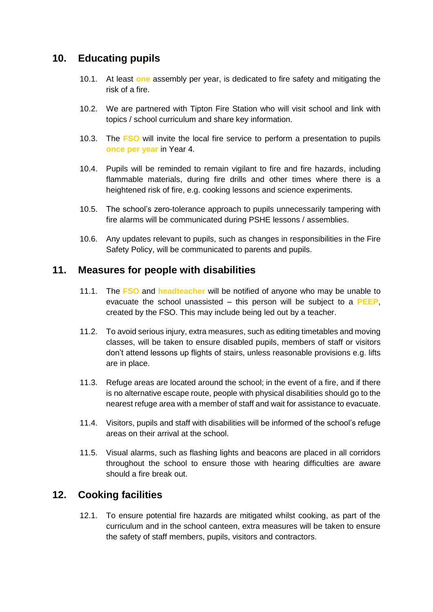# **10. Educating pupils**

- 10.1. At least **one** assembly per year, is dedicated to fire safety and mitigating the risk of a fire.
- 10.2. We are partnered with Tipton Fire Station who will visit school and link with topics / school curriculum and share key information.
- 10.3. The **FSO** will invite the local fire service to perform a presentation to pupils **once per year** in Year 4.
- 10.4. Pupils will be reminded to remain vigilant to fire and fire hazards, including flammable materials, during fire drills and other times where there is a heightened risk of fire, e.g. cooking lessons and science experiments.
- 10.5. The school's zero-tolerance approach to pupils unnecessarily tampering with fire alarms will be communicated during PSHE lessons / assemblies.
- 10.6. Any updates relevant to pupils, such as changes in responsibilities in the Fire Safety Policy, will be communicated to parents and pupils.

## **11. Measures for people with disabilities**

- 11.1. The **FSO** and **headteacher** will be notified of anyone who may be unable to evacuate the school unassisted – this person will be subject to a **PEEP**, created by the FSO. This may include being led out by a teacher.
- 11.2. To avoid serious injury, extra measures, such as editing timetables and moving classes, will be taken to ensure disabled pupils, members of staff or visitors don't attend lessons up flights of stairs, unless reasonable provisions e.g. lifts are in place.
- 11.3. Refuge areas are located around the school; in the event of a fire, and if there is no alternative escape route, people with physical disabilities should go to the nearest refuge area with a member of staff and wait for assistance to evacuate.
- 11.4. Visitors, pupils and staff with disabilities will be informed of the school's refuge areas on their arrival at the school.
- 11.5. Visual alarms, such as flashing lights and beacons are placed in all corridors throughout the school to ensure those with hearing difficulties are aware should a fire break out.

# **12. Cooking facilities**

12.1. To ensure potential fire hazards are mitigated whilst cooking, as part of the curriculum and in the school canteen, extra measures will be taken to ensure the safety of staff members, pupils, visitors and contractors.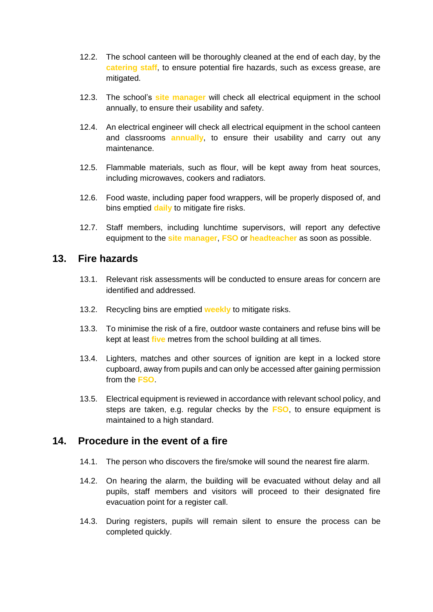- 12.2. The school canteen will be thoroughly cleaned at the end of each day, by the **catering staff**, to ensure potential fire hazards, such as excess grease, are mitigated.
- 12.3. The school's **site manager** will check all electrical equipment in the school annually, to ensure their usability and safety.
- 12.4. An electrical engineer will check all electrical equipment in the school canteen and classrooms **annually**, to ensure their usability and carry out any maintenance.
- 12.5. Flammable materials, such as flour, will be kept away from heat sources, including microwaves, cookers and radiators.
- 12.6. Food waste, including paper food wrappers, will be properly disposed of, and bins emptied **daily** to mitigate fire risks.
- 12.7. Staff members, including lunchtime supervisors, will report any defective equipment to the **site manager**, **FSO** or **headteacher** as soon as possible.

#### **13. Fire hazards**

- 13.1. Relevant risk assessments will be conducted to ensure areas for concern are identified and addressed.
- 13.2. Recycling bins are emptied **weekly** to mitigate risks.
- 13.3. To minimise the risk of a fire, outdoor waste containers and refuse bins will be kept at least **five** metres from the school building at all times.
- 13.4. Lighters, matches and other sources of ignition are kept in a locked store cupboard, away from pupils and can only be accessed after gaining permission from the **FSO**.
- 13.5. Electrical equipment is reviewed in accordance with relevant school policy, and steps are taken, e.g. regular checks by the **FSO**, to ensure equipment is maintained to a high standard.

# **14. Procedure in the event of a fire**

- 14.1. The person who discovers the fire/smoke will sound the nearest fire alarm.
- 14.2. On hearing the alarm, the building will be evacuated without delay and all pupils, staff members and visitors will proceed to their designated fire evacuation point for a register call.
- 14.3. During registers, pupils will remain silent to ensure the process can be completed quickly.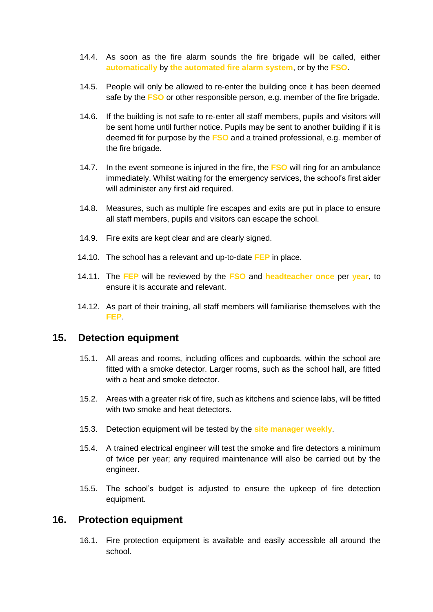- 14.4. As soon as the fire alarm sounds the fire brigade will be called, either **automatically** by **the automated fire alarm system**, or by the **FSO**.
- 14.5. People will only be allowed to re-enter the building once it has been deemed safe by the **FSO** or other responsible person, e.g. member of the fire brigade.
- 14.6. If the building is not safe to re-enter all staff members, pupils and visitors will be sent home until further notice. Pupils may be sent to another building if it is deemed fit for purpose by the **FSO** and a trained professional, e.g. member of the fire brigade.
- 14.7. In the event someone is injured in the fire, the **FSO** will ring for an ambulance immediately. Whilst waiting for the emergency services, the school's first aider will administer any first aid required.
- 14.8. Measures, such as multiple fire escapes and exits are put in place to ensure all staff members, pupils and visitors can escape the school.
- 14.9. Fire exits are kept clear and are clearly signed.
- 14.10. The school has a relevant and up-to-date **FEP** in place.
- 14.11. The **FEP** will be reviewed by the **FSO** and **headteacher once** per **year**, to ensure it is accurate and relevant.
- 14.12. As part of their training, all staff members will familiarise themselves with the **FEP**.

### **15. Detection equipment**

- 15.1. All areas and rooms, including offices and cupboards, within the school are fitted with a smoke detector. Larger rooms, such as the school hall, are fitted with a heat and smoke detector.
- 15.2. Areas with a greater risk of fire, such as kitchens and science labs, will be fitted with two smoke and heat detectors.
- 15.3. Detection equipment will be tested by the **site manager weekly**.
- 15.4. A trained electrical engineer will test the smoke and fire detectors a minimum of twice per year; any required maintenance will also be carried out by the engineer.
- 15.5. The school's budget is adjusted to ensure the upkeep of fire detection equipment.

#### **16. Protection equipment**

16.1. Fire protection equipment is available and easily accessible all around the school.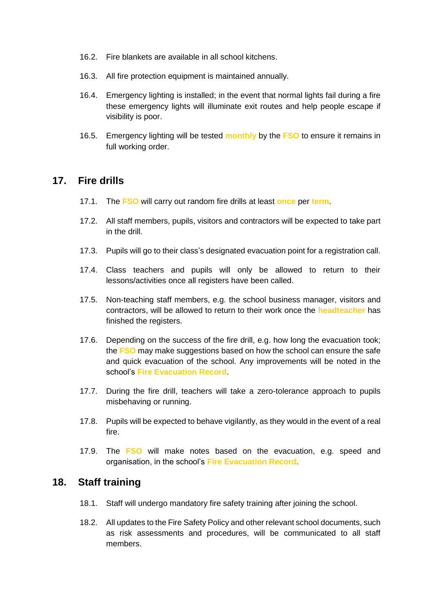- 16.2. Fire blankets are available in all school kitchens.
- 16.3. All fire protection equipment is maintained annually.
- 16.4. Emergency lighting is installed; in the event that normal lights fail during a fire these emergency lights will illuminate exit routes and help people escape if visibility is poor.
- 16.5. Emergency lighting will be tested **monthly** by the **FSO** to ensure it remains in full working order.

## **17. Fire drills**

- 17.1. The **FSO** will carry out random fire drills at least **once** per **term**.
- 17.2. All staff members, pupils, visitors and contractors will be expected to take part in the drill.
- 17.3. Pupils will go to their class's designated evacuation point for a registration call.
- 17.4. Class teachers and pupils will only be allowed to return to their lessons/activities once all registers have been called.
- 17.5. Non-teaching staff members, e.g. the school business manager, visitors and contractors, will be allowed to return to their work once the **headteacher** has finished the registers.
- 17.6. Depending on the success of the fire drill, e.g. how long the evacuation took; the **FSO** may make suggestions based on how the school can ensure the safe and quick evacuation of the school. Any improvements will be noted in the school's **Fire Evacuation Record**.
- 17.7. During the fire drill, teachers will take a zero-tolerance approach to pupils misbehaving or running.
- 17.8. Pupils will be expected to behave vigilantly, as they would in the event of a real fire.
- 17.9. The **FSO** will make notes based on the evacuation, e.g. speed and organisation, in the school's **Fire Evacuation Record**.

#### **18. Staff training**

- 18.1. Staff will undergo mandatory fire safety training after joining the school.
- 18.2. All updates to the Fire Safety Policy and other relevant school documents, such as risk assessments and procedures, will be communicated to all staff members.